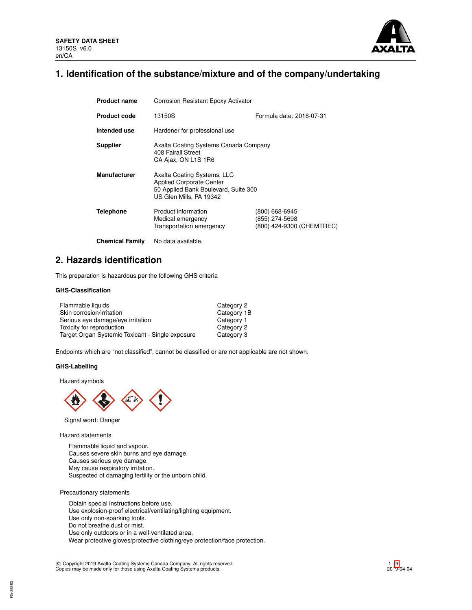

# **1. Identification of the substance/mixture and of the company/undertaking**

| <b>Product name</b>    | Corrosion Resistant Epoxy Activator                                                                                               |                                                               |  |  |  |
|------------------------|-----------------------------------------------------------------------------------------------------------------------------------|---------------------------------------------------------------|--|--|--|
| <b>Product code</b>    | Formula date: 2018-07-31<br>13150S                                                                                                |                                                               |  |  |  |
| Intended use           | Hardener for professional use                                                                                                     |                                                               |  |  |  |
| <b>Supplier</b>        | Axalta Coating Systems Canada Company<br>408 Fairall Street<br>CA Ajax, ON L1S 1R6                                                |                                                               |  |  |  |
| <b>Manufacturer</b>    | Axalta Coating Systems, LLC<br><b>Applied Corporate Center</b><br>50 Applied Bank Boulevard, Suite 300<br>US Glen Mills, PA 19342 |                                                               |  |  |  |
| Telephone              | Product information<br>Medical emergency<br>Transportation emergency                                                              | (800) 668-6945<br>(855) 274-5698<br>(800) 424-9300 (CHEMTREC) |  |  |  |
| <b>Chemical Family</b> | No data available.                                                                                                                |                                                               |  |  |  |

# **2. Hazards identification**

This preparation is hazardous per the following GHS criteria

# **GHS-Classification**

| Flammable liquids                                | Category 2  |
|--------------------------------------------------|-------------|
| Skin corrosion/irritation                        | Category 1B |
| Serious eye damage/eye irritation                | Category 1  |
| Toxicity for reproduction                        | Category 2  |
| Target Organ Systemic Toxicant - Single exposure | Category 3  |

Endpoints which are "not classified", cannot be classified or are not applicable are not shown.

# **GHS-Labelling**

Hazard symbols



Signal word: Danger

Hazard statements

Flammable liquid and vapour. Causes severe skin burns and eye damage. Causes serious eye damage. May cause respiratory irritation. Suspected of damaging fertility or the unborn child.

Precautionary statements

Obtain special instructions before use. Use explosion-proof electrical/ventilating/lighting equipment. Use only non-sparking tools. Do not breathe dust or mist. Use only outdoors or in a well-ventilated area. Wear protective gloves/protective clothing/eye protection/face protection.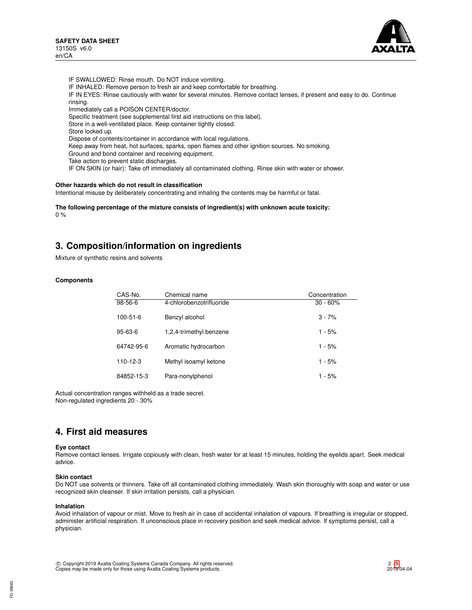

IF SWALLOWED: Rinse mouth. Do NOT induce vomiting. IF INHALED: Remove person to fresh air and keep comfortable for breathing. IF IN EYES: Rinse cautiously with water for several minutes. Remove contact lenses, if present and easy to do. Continue rinsing. Immediately call a POISON CENTER/doctor. Specific treatment (see supplemental first aid instructions on this label). Store in a well-ventilated place. Keep container tightly closed. Store locked up. Dispose of contents/container in accordance with local regulations. Keep away from heat, hot surfaces, sparks, open flames and other ignition sources. No smoking. Ground and bond container and receiving equipment. Take action to prevent static discharges. IF ON SKIN (or hair): Take off immediately all contaminated clothing. Rinse skin with water or shower.

### **Other hazards which do not result in classification**

Intentional misuse by deliberately concentrating and inhaling the contents may be harmful or fatal.

**The following percentage of the mixture consists of ingredient(s) with unknown acute toxicity:**  $0 %$ 

# **3. Composition/information on ingredients**

Mixture of synthetic resins and solvents

### **Components**

| CAS-No.        | Chemical name            | Concentration |
|----------------|--------------------------|---------------|
| $98-56-6$      | 4-chlorobenzotrifluoride | $30 - 60\%$   |
| $100 - 51 - 6$ | Benzyl alcohol           | $3 - 7%$      |
| $95 - 63 - 6$  | 1,2,4-trimethyl benzene  | $1 - 5%$      |
| 64742-95-6     | Aromatic hydrocarbon     | $1 - 5%$      |
| 110-12-3       | Methyl isoamyl ketone    | $1 - 5%$      |
| 84852-15-3     | Para-nonylphenol         | $1 - 5%$      |

Actual concentration ranges withheld as a trade secret. Non-regulated ingredients 20 - 30%

# **4. First aid measures**

#### **Eye contact**

Remove contact lenses. Irrigate copiously with clean, fresh water for at least 15 minutes, holding the eyelids apart. Seek medical advice.

#### **Skin contact**

Do NOT use solvents or thinners. Take off all contaminated clothing immediately. Wash skin thoroughly with soap and water or use recognized skin cleanser. If skin irritation persists, call a physician.

#### **Inhalation**

Avoid inhalation of vapour or mist. Move to fresh air in case of accidental inhalation of vapours. If breathing is irregular or stopped, administer artificial respiration. If unconscious place in recovery position and seek medical advice. If symptoms persist, call a physician.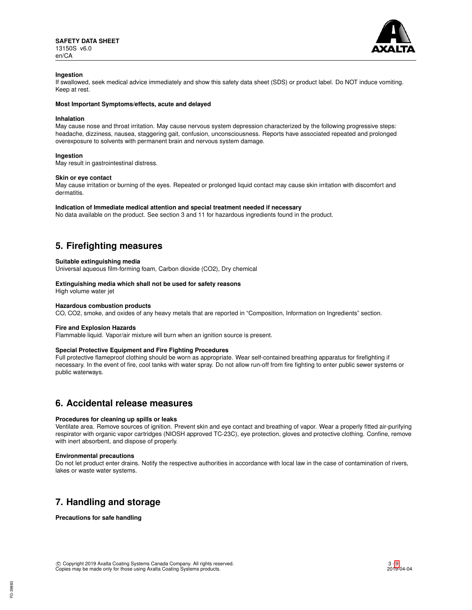

### **Ingestion**

If swallowed, seek medical advice immediately and show this safety data sheet (SDS) or product label. Do NOT induce vomiting. Keep at rest.

#### **Most Important Symptoms/effects, acute and delayed**

#### **Inhalation**

May cause nose and throat irritation. May cause nervous system depression characterized by the following progressive steps: headache, dizziness, nausea, staggering gait, confusion, unconsciousness. Reports have associated repeated and prolonged overexposure to solvents with permanent brain and nervous system damage.

### **Ingestion**

May result in gastrointestinal distress.

#### **Skin or eye contact**

May cause irritation or burning of the eyes. Repeated or prolonged liquid contact may cause skin irritation with discomfort and dermatitis.

#### **Indication of Immediate medical attention and special treatment needed if necessary**

No data available on the product. See section 3 and 11 for hazardous ingredients found in the product.

# **5. Firefighting measures**

#### **Suitable extinguishing media**

Universal aqueous film-forming foam, Carbon dioxide (CO2), Dry chemical

### **Extinguishing media which shall not be used for safety reasons**

High volume water jet

#### **Hazardous combustion products**

CO, CO2, smoke, and oxides of any heavy metals that are reported in "Composition, Information on Ingredients" section.

#### **Fire and Explosion Hazards**

Flammable liquid. Vapor/air mixture will burn when an ignition source is present.

#### **Special Protective Equipment and Fire Fighting Procedures**

Full protective flameproof clothing should be worn as appropriate. Wear self-contained breathing apparatus for firefighting if necessary. In the event of fire, cool tanks with water spray. Do not allow run-off from fire fighting to enter public sewer systems or public waterways.

# **6. Accidental release measures**

# **Procedures for cleaning up spills or leaks**

Ventilate area. Remove sources of ignition. Prevent skin and eye contact and breathing of vapor. Wear a properly fitted air-purifying respirator with organic vapor cartridges (NIOSH approved TC-23C), eye protection, gloves and protective clothing. Confine, remove with inert absorbent, and dispose of properly.

#### **Environmental precautions**

Do not let product enter drains. Notify the respective authorities in accordance with local law in the case of contamination of rivers, lakes or waste water systems.

# **7. Handling and storage**

**Precautions for safe handling**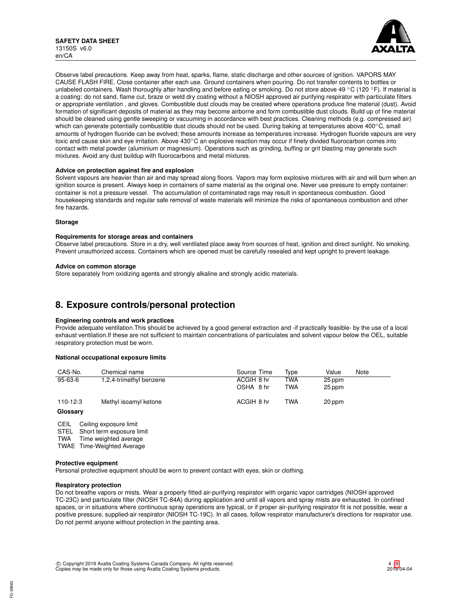

Observe label precautions. Keep away from heat, sparks, flame, static discharge and other sources of ignition. VAPORS MAY CAUSE FLASH FIRE. Close container after each use. Ground containers when pouring. Do not transfer contents to bottles or unlabeled containers. Wash thoroughly after handling and before eating or smoking. Do not store above 49 °C (120 °F). If material is a coating: do not sand, flame cut, braze or weld dry coating without a NIOSH approved air purifying respirator with particulate filters or appropriate ventilation , and gloves. Combustible dust clouds may be created where operations produce fine material (dust). Avoid formation of significant deposits of material as they may become airborne and form combustible dust clouds. Build up of fine material should be cleaned using gentle sweeping or vacuuming in accordance with best practices. Cleaning methods (e.g. compressed air) which can generate potentially combustible dust clouds should not be used. During baking at temperatures above 400°C, small amounts of hydrogen fluoride can be evolved; these amounts increase as temperatures increase. Hydrogen fluoride vapours are very toxic and cause skin and eye irritation. Above 430°C an explosive reaction may occur if finely divided fluorocarbon comes into contact with metal powder (aluminium or magnesium). Operations such as grinding, buffing or grit blasting may generate such mixtures. Avoid any dust buildup with fluorocarbons and metal mixtures.

### **Advice on protection against fire and explosion**

Solvent vapours are heavier than air and may spread along floors. Vapors may form explosive mixtures with air and will burn when an ignition source is present. Always keep in containers of same material as the original one. Never use pressure to empty container: container is not a pressure vessel. The accumulation of contaminated rags may result in spontaneous combustion. Good housekeeping standards and regular safe removal of waste materials will minimize the risks of spontaneous combustion and other fire hazards.

#### **Storage**

#### **Requirements for storage areas and containers**

Observe label precautions. Store in a dry, well ventilated place away from sources of heat, ignition and direct sunlight. No smoking. Prevent unauthorized access. Containers which are opened must be carefully resealed and kept upright to prevent leakage.

#### **Advice on common storage**

Store separately from oxidizing agents and strongly alkaline and strongly acidic materials.

# **8. Exposure controls/personal protection**

#### **Engineering controls and work practices**

Provide adequate ventilation.This should be achieved by a good general extraction and -if practically feasible- by the use of a local exhaust ventilation.If these are not sufficient to maintain concentrations of particulates and solvent vapour below the OEL, suitable respiratory protection must be worn.

#### **National occupational exposure limits**

| CAS-No.                    | Chemical name           | Source Time             | Tvpe       | Value            | Note |
|----------------------------|-------------------------|-------------------------|------------|------------------|------|
| $95 - 63 - 6$              | 1,2,4-trimethyl benzene | ACGIH 8 hr<br>OSHA 8 hr | TWA<br>TWA | 25 ppm<br>25 ppm |      |
| $110 - 12 - 3$<br>Glossary | Methyl isoamyl ketone   | ACGIH 8 hr              | TWA        | 20 ppm           |      |

CEIL Ceiling exposure limit<br>STEL Short term exposure l

Short term exposure limit

TWA Time weighted average

TWAE Time-Weighted Average

#### **Protective equipment**

Personal protective equipment should be worn to prevent contact with eyes, skin or clothing.

#### **Respiratory protection**

Do not breathe vapors or mists. Wear a properly fitted air-purifying respirator with organic vapor cartridges (NIOSH approved TC-23C) and particulate filter (NIOSH TC-84A) during application and until all vapors and spray mists are exhausted. In confined spaces, or in situations where continuous spray operations are typical, or if proper air-purifying respirator fit is not possible, wear a positive pressure, supplied-air respirator (NIOSH TC-19C). In all cases, follow respirator manufacturer's directions for respirator use. Do not permit anyone without protection in the painting area.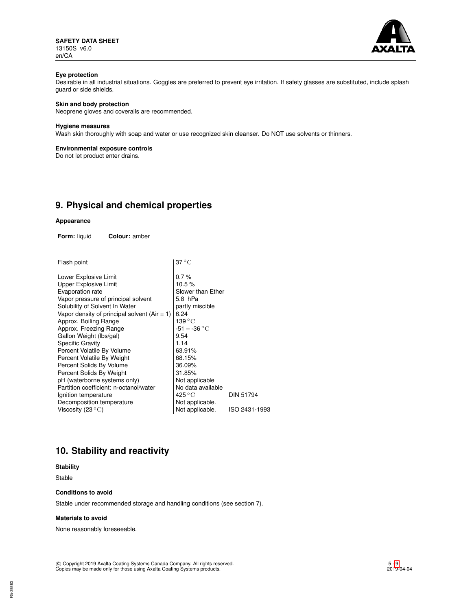**SAFETY DATA SHEET** 13150S v6.0 en/CA



# **Eye protection**

Desirable in all industrial situations. Goggles are preferred to prevent eye irritation. If safety glasses are substituted, include splash guard or side shields.

# **Skin and body protection**

Neoprene gloves and coveralls are recommended.

### **Hygiene measures**

Wash skin thoroughly with soap and water or use recognized skin cleanser. Do NOT use solvents or thinners.

### **Environmental exposure controls**

Do not let product enter drains.

# **9. Physical and chemical properties**

#### **Appearance**

**Form:** liquid **Colour:** amber

| Flash point | $ 37^{\circ}$ C |
|-------------|-----------------|
|             |                 |

| Lower Explosive Limit                          | $0.7\%$                   |                  |
|------------------------------------------------|---------------------------|------------------|
| <b>Upper Explosive Limit</b>                   | 10.5%                     |                  |
| Evaporation rate                               | Slower than Ether         |                  |
| Vapor pressure of principal solvent            | 5.8 hPa                   |                  |
| Solubility of Solvent In Water                 | partly miscible           |                  |
| Vapor density of principal solvent $(Air = 1)$ | 6.24                      |                  |
| Approx. Boiling Range                          | 139 °C                    |                  |
| Approx. Freezing Range                         | $-51 - -36$ °C            |                  |
| Gallon Weight (Ibs/gal)                        | 9.54                      |                  |
| <b>Specific Gravity</b>                        | 1.14                      |                  |
| Percent Volatile By Volume                     | 63.91%                    |                  |
| Percent Volatile By Weight                     | 68.15%                    |                  |
| Percent Solids By Volume                       | 36.09%                    |                  |
| Percent Solids By Weight                       | 31.85%                    |                  |
| pH (waterborne systems only)                   | Not applicable            |                  |
| Partition coefficient: n-octanol/water         | No data available         |                  |
| Ignition temperature                           | $425\,^{\circ}\mathrm{C}$ | <b>DIN 51794</b> |
| Decomposition temperature                      | Not applicable.           |                  |
| Viscosity (23 $\mathrm{^{\circ}C}$ )           | Not applicable.           | ISO 2431-1993    |
|                                                |                           |                  |

# **10. Stability and reactivity**

# **Stability**

Stable

### **Conditions to avoid**

Stable under recommended storage and handling conditions (see section 7).

#### **Materials to avoid**

None reasonably foreseeable.

c Copyright 2019 Axalta Coating Systems Canada Company. All rights reserved. Copies may be made only for those using Axalta Coating Systems products.

FG-39883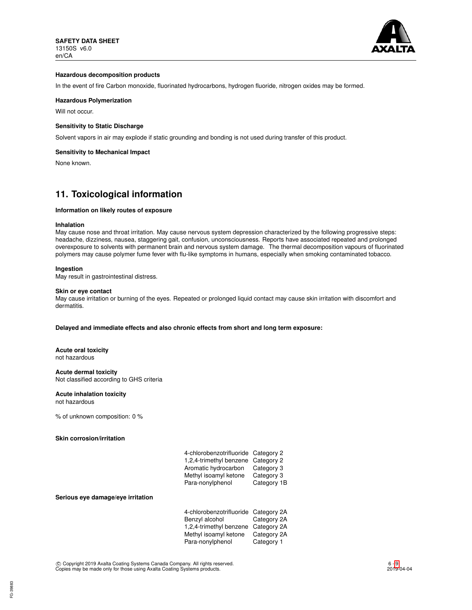

### **Hazardous decomposition products**

In the event of fire Carbon monoxide, fluorinated hydrocarbons, hydrogen fluoride, nitrogen oxides may be formed.

# **Hazardous Polymerization**

Will not occur.

# **Sensitivity to Static Discharge**

Solvent vapors in air may explode if static grounding and bonding is not used during transfer of this product.

#### **Sensitivity to Mechanical Impact**

None known.

# **11. Toxicological information**

#### **Information on likely routes of exposure**

#### **Inhalation**

May cause nose and throat irritation. May cause nervous system depression characterized by the following progressive steps: headache, dizziness, nausea, staggering gait, confusion, unconsciousness. Reports have associated repeated and prolonged overexposure to solvents with permanent brain and nervous system damage. The thermal decomposition vapours of fluorinated polymers may cause polymer fume fever with flu-like symptoms in humans, especially when smoking contaminated tobacco.

#### **Ingestion**

May result in gastrointestinal distress.

# **Skin or eye contact**

May cause irritation or burning of the eyes. Repeated or prolonged liquid contact may cause skin irritation with discomfort and dermatitis.

#### **Delayed and immediate effects and also chronic effects from short and long term exposure:**

**Acute oral toxicity** not hazardous

#### **Acute dermal toxicity**

Not classified according to GHS criteria

#### **Acute inhalation toxicity** not hazardous

% of unknown composition: 0 %

#### **Skin corrosion/irritation**

| 4-chlorobenzotrifluoride Category 2 |             |
|-------------------------------------|-------------|
| 1,2,4-trimethyl benzene Category 2  |             |
| Aromatic hydrocarbon                | Category 3  |
| Methyl isoamyl ketone               | Category 3  |
| Para-nonylphenol                    | Category 1B |
|                                     |             |

#### **Serious eye damage/eye irritation**

| 4-chlorobenzotrifluoride Category 2A |             |
|--------------------------------------|-------------|
| Benzyl alcohol                       | Category 2A |
| 1,2,4-trimethyl benzene              | Category 2A |
| Methyl isoamyl ketone                | Category 2A |
| Para-nonylphenol                     | Category 1  |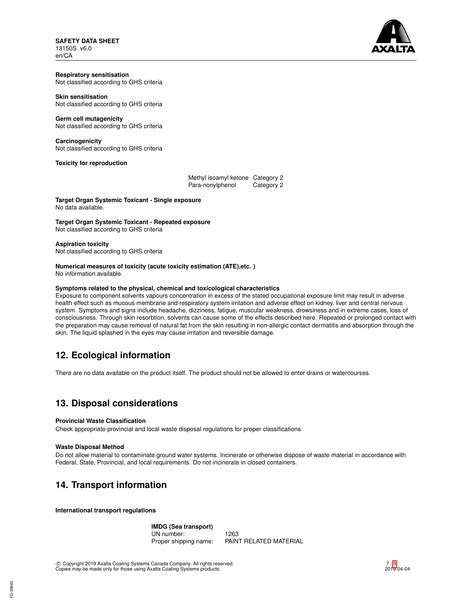# **SAFETY DATA SHEET** 13150S v6.0

en/CA



#### **Respiratory sensitisation** Not classified according to GHS criteria

# **Skin sensitisation**

Not classified according to GHS criteria

# **Germ cell mutagenicity**

Not classified according to GHS criteria

# **Carcinogenicity**

Not classified according to GHS criteria

# **Toxicity for reproduction**

| Methyl isoamyl ketone Category 2 |            |
|----------------------------------|------------|
| Para-nonylphenol                 | Category 2 |

**Target Organ Systemic Toxicant - Single exposure** No data available.

# **Target Organ Systemic Toxicant - Repeated exposure**

Not classified according to GHS criteria

# **Aspiration toxicity**

Not classified according to GHS criteria

#### **Numerical measures of toxicity (acute toxicity estimation (ATE),etc. )** No information available.

# **Symptoms related to the physical, chemical and toxicological characteristics**

Exposure to component solvents vapours concentration in excess of the stated occupational exposure limit may result in adverse health effect such as mucous membrane and respiratory system irritation and adverse effect on kidney, liver and central nervous system. Symptoms and signs include headache, dizziness, fatigue, muscular weakness, drowsiness and in extreme cases, loss of consciousness. Through skin resorbtion, solvents can cause some of the effects described here. Repeated or prolonged contact with the preparation may cause removal of natural fat from the skin resulting in non-allergic contact dermatitis and absorption through the skin. The liquid splashed in the eyes may cause irritation and reversible damage.

# **12. Ecological information**

There are no data available on the product itself. The product should not be allowed to enter drains or watercourses.

# **13. Disposal considerations**

# **Provincial Waste Classification**

Check appropriate provincial and local waste disposal regulations for proper classifications.

# **Waste Disposal Method**

Do not allow material to contaminate ground water systems. Incinerate or otherwise dispose of waste material in accordance with Federal, State, Provincial, and local requirements. Do not incinerate in closed containers.

# **14. Transport information**

**International transport regulations**

### **IMDG (Sea transport)** UN number: 1263<br>Proper shipping name: PAIN PAINT RELATED MATERIAL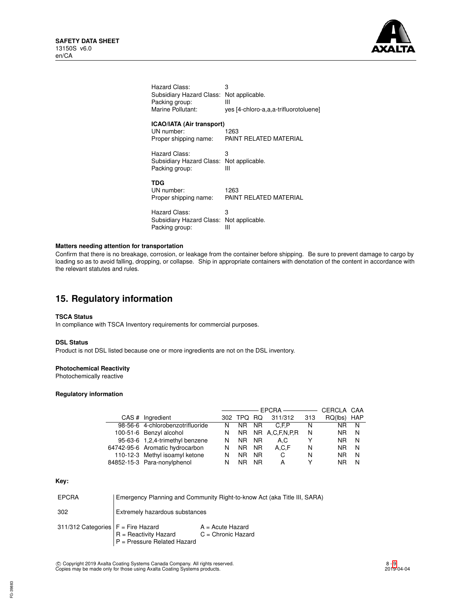

| Hazard Class:                                                           | 3                                     |
|-------------------------------------------------------------------------|---------------------------------------|
| Subsidiary Hazard Class:                                                | Not applicable.                       |
| Packing group:                                                          | Ш                                     |
| Marine Pollutant:                                                       | yes [4-chloro-a,a,a-trifluorotoluene] |
| <b>ICAO/IATA (Air transport)</b><br>UN number:<br>Proper shipping name: | 1263<br>PAINT RELATED MATERIAL        |
| Hazard Class:                                                           | 3                                     |
| Subsidiary Hazard Class:                                                | Not applicable.                       |
| Packing group:                                                          | Ш                                     |
| TDG<br>UN number:<br>Proper shipping name:                              | 1263<br>PAINT RELATED MATERIAL        |
| Hazard Class:                                                           | 3                                     |
| Subsidiary Hazard Class:                                                | Not applicable.                       |
| Packing group:                                                          | Ш                                     |
|                                                                         |                                       |

# **Matters needing attention for transportation**

Confirm that there is no breakage, corrosion, or leakage from the container before shipping. Be sure to prevent damage to cargo by loading so as to avoid falling, dropping, or collapse. Ship in appropriate containers with denotation of the content in accordance with the relevant statutes and rules.

# **15. Regulatory information**

# **TSCA Status**

In compliance with TSCA Inventory requirements for commercial purposes.

# **DSL Status**

Product is not DSL listed because one or more ingredients are not on the DSL inventory.

# **Photochemical Reactivity**

Photochemically reactive

## **Regulatory information**

|                                  |    | CERCLA CAA |           |                |     |         |            |
|----------------------------------|----|------------|-----------|----------------|-----|---------|------------|
| CAS # Ingredient                 |    | 302 TPQ RQ |           | 311/312        | 313 | RQ(lbs) | <b>HAP</b> |
| 98-56-6 4-chlorobenzotrifluoride | N. | NR.        | NR.       | C.F.P          | N   | NR      | N          |
| 100-51-6 Benzyl alcohol          | N. | NR.        |           | NR A.C.F.N.P.R | N   | NR.     | N          |
| 95-63-6 1,2,4-trimethyl benzene  | N  | NR.        | NR.       | A.C            |     | NR.     | N          |
| 64742-95-6 Aromatic hydrocarbon  | N  | NR.        | NR.       | A.C.F          | N   | NR      | N          |
| 110-12-3 Methyl isoamyl ketone   | N  | NR.        | NR.       | C              | N   | NR.     | N          |
| 84852-15-3 Para-nonylphenol      | N  | NR         | <b>NR</b> | А              |     | ΝR      | N          |

### **Key:**

| <b>EPCRA</b>                         | Emergency Planning and Community Right-to-know Act (aka Title III, SARA) |                                            |  |
|--------------------------------------|--------------------------------------------------------------------------|--------------------------------------------|--|
| 302                                  | Extremely hazardous substances                                           |                                            |  |
| 311/312 Categories $F =$ Fire Hazard | $R =$ Reactivity Hazard<br>P = Pressure Related Hazard                   | $A = Acute$ Hazard<br>$C =$ Chronic Hazard |  |